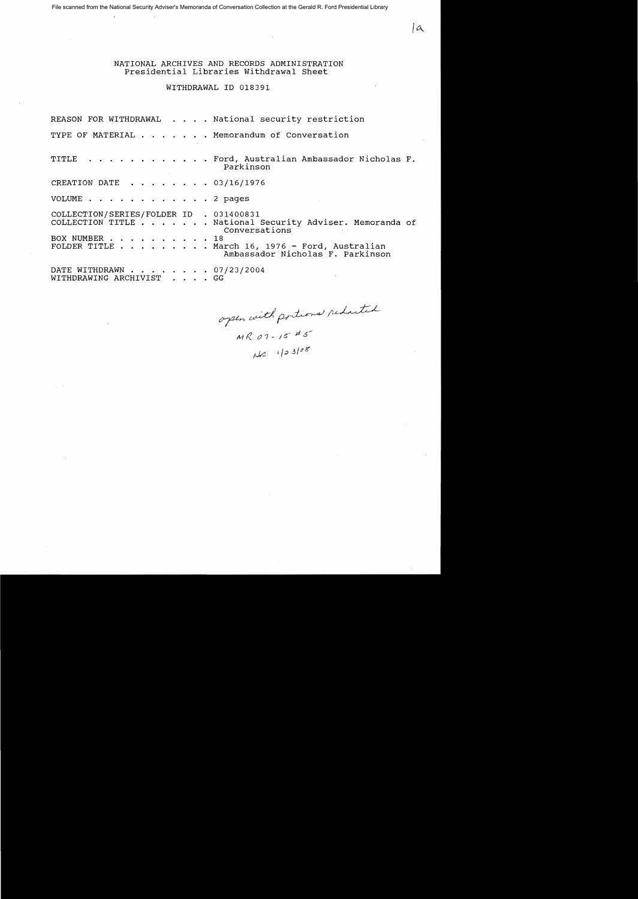File scanned from the National Security Adviser's Memoranda of Conversation Collection at the Gerald R. Ford Presidential Library

 $\mathbb{C}$ 

NATIONAL ARCHIVES AND RECORDS ADMINISTRATION Presidential Libraries withdrawal Sheet

## WITHDRAWAL ID 018391

REASON FOR WITHDRAWAL . . . . National security restriction TYPE OF MATERIAL . . . . . . Memorandum of Conversation TITLE . . . . . . . . . . . Ford, Australian Ambassador Nicholas F. Parkinson CREATION DATE .... 03/16/1976 VOLUME . . . 2 pages COLLECTION/SERIES/FOLDER ID . 031400831 COLLECTION TITLE . . . . National Security Adviser. Memoranda of Conversations<br>18 BOX NUMBER . . . . . . . . . . FOLDER TITLE  $\cdots$  . . . . . . March 16, 1976 - Ford, Australian Ambassador Nicholas F. Parkinson AMDASSAQ<br>DATE WITHDRAWN . . . . . . . . 07/23/2004<br>WITHDRAWING ARCHIVIST . . . . GG

open with portions reducted

*lCl..* 

 $MRO1 - 15$   $H5$  $|Jz|$  1/23/08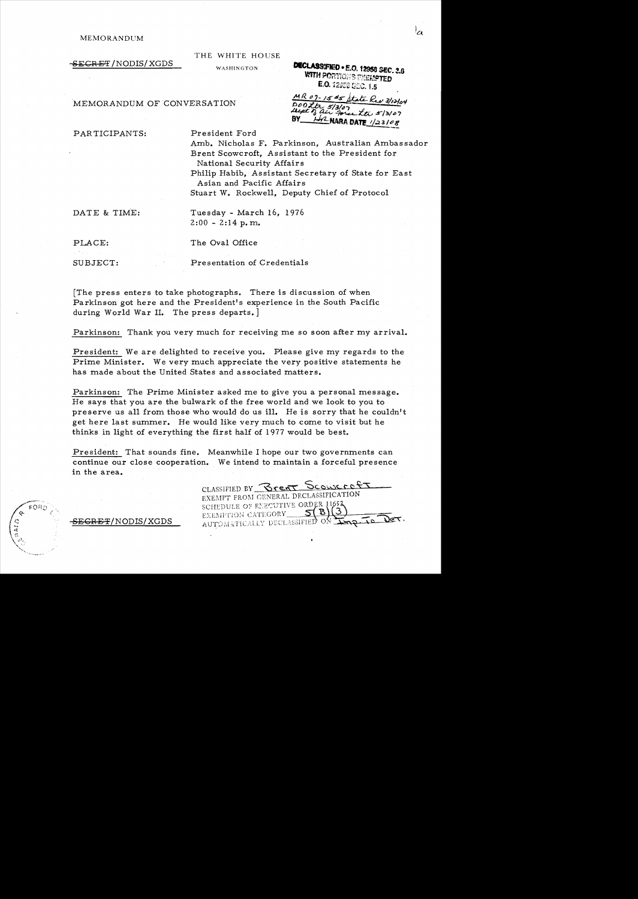$\overline{\texttt{SEGRET}}$  /NODIS/XGDS

THE WHITE HOUSE

WASHINGTON

**DECLASSIFIED . E.O. 12958 SEC. 3.6** WITH PORTIONS EXERPTED E.O. 12353 GEC. 1.5

MR 07-15#5 State Rev 3/12/04

PL NARA DATE 1/23/08

### MEMORANDUM OF CONVERSATION

PARTICIPANTS: President Ford

Amb. Nicholas F. Parkinson, Australian Ambassador Brent Scowcroft, Assistant to the President for National Security Affairs Philip Habib, Assistant Secretary of State for East Asian and Pacific Affairs Stuart W. Rockwell, Deputy Chief of Protocol

 $D00kt_{25/3/0}$ 

DATE & TIME: Tuesday - March 16, 1976  $2:00 - 2:14$  p.m.

PLACE: The Oval Office

SUBJECT: Presentation of Credentials

The press enters to take photographs. There is discussion of when Parkinson got here and the President's experience in the South Pacific during World War II. The press departs.]

Parkinson: Thank you very much for receiving me so soon after my arrival.

President: We are delighted to receive you. Please give my regards to the Prime Minister. We very much appreciate the very positive statements he has made about the United States and associated matters.

Parkinson: The Prime Minister asked me to give you a personal message. He says that you are the bulwark of the free world and we look to you to preserve us all from those who would do us ill. He is sorry that he couldn't get here last summer. He would like very much to come to visit but he thinks in light of everything the first half of 1977 would be best.

President: That sounds fine. Meanwhile I hope our two governments can continue our close cooperation. We intend to maintain a forceful presence in the area.

CLASSIFIED BY Breat Scourret EXEMPT FROM GENERAL DECLASSIFICATION SCHEDULE OF ENECUTIVE ORDER 116 EXEMPTION CATEGORY AUTOMATICALLY DECLASSIFIED -ON

<del>SECRET</del>/NODIS/XGDS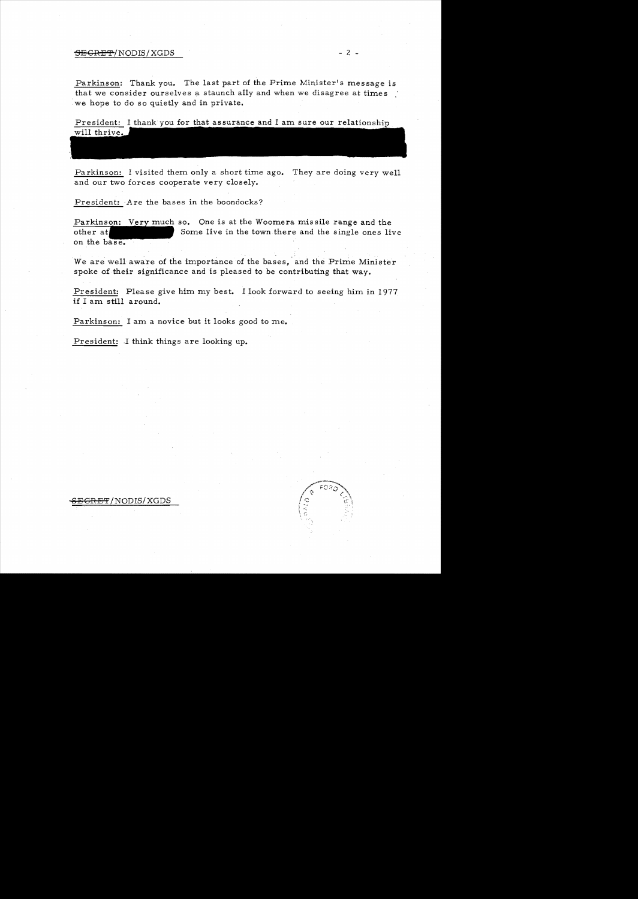### <del>SECRET</del>/NODIS/XGDS - 2 -

Parkinson: Thank you. The last part of the Prime Minister's message is that we consider ourselves a staunch ally and when we disagree at times we hope to do so quietly and in private.

President: I thank you for that assurance and I am sure our relationship will thrive.

Parkinson: I visited them only a short time ago. They are doing very well and our two forces cooperate very closely.

President: Are the bases in the boondocks?

Parkinson: Very much so. One is at the Woomera missile range and the Some live in the town there and the single ones live other at on the base.

We are well aware of the importance of the bases, and the Prime Minister spoke of their significance and is pleased to be contributing that way.

President: Please give him my best. I look forward to seeing him in 1977 if I am still around.

Parkinson: I am a novice but it looks good to me.

President: I think things are looking up.



<del>GRET</del>/NODIS/XGDS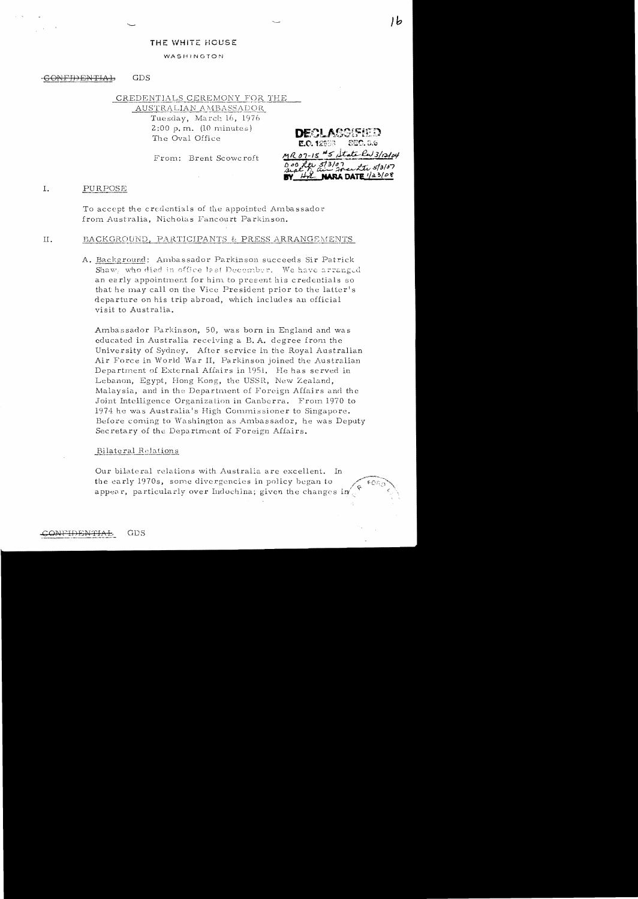### THE WHITE HOUSE

### WASHINGTON

#### **GDS** -GONFIDENTIAL

CREDENTIALS CEREMONY FOR THE AUSTRALIAN AMBASSADOR

> Tuesday, March 16, 1976  $2:00$  p.m. (10 minutes) The Oval Office

From: Brent Scowcroft

E.O. 12833 MR 07-15  $*5$  state Rw 3/12/14 **URA DATE** 1/23/08

ط١

#### I. PURPOSE

To accept the credentials of the appointed Ambassador from Australia, Nicholas Fancourt Parkinson.

### BACKGROUND, PARTICIPANTS & PRESS ARRANGEMENTS  $II.$

A. Background: Ambassador Parkinson succeeds Sir Patrick Shaw, who died in office last December. We have arranged an early appointment for him to present his credentials so that he may call on the Vice President prior to the latter's departure on his trip abroad, which includes an official visit to Australia.

Ambassador Parkinson, 50, was born in England and was educated in Australia receiving a B.A. degree from the University of Sydney. After service in the Royal Australian Air Force in World War II, Parkinson joined the Australian Department of External Affairs in 1951. He has served in Lebanon, Egypt, Hong Kong, the USSR, New Zealand, Malaysia, and in the Department of Foreign Affairs and the Joint Intelligence Organization in Canberra. From 1970 to 1974 he was Australia's High Commissioner to Singapore. Before coming to Washington as Ambassador, he was Deputy Secretary of the Department of Foreign Affairs.

### Bilateral Relations

Our bilateral relations with Australia are excellent. In the early 1970s, some divergencies in policy began to appear, particularly over Indochina; given the changes  $\mathrm{i}\mathbf{n}'$ .

**GDS**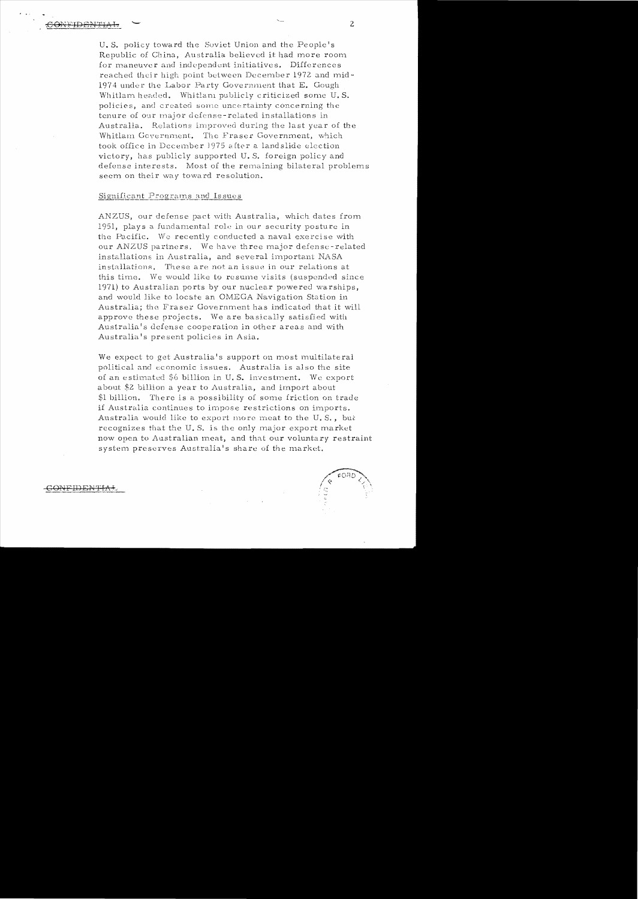U.S. policy toward the Soviet Union and the People's Republic of China, Australia believed it had more room for maneuver and independent initiatives. Differences reached their high point between December 1972 and mid-1974 under the Labor Party Government that E. Gough Whitlam headed. Whitlam publicly criticized some U.S. policies, and created some uncertainty concerning the tenure of our major defense-related installations in Australia. Relations improved during the last year of the Whitlam Government. The Fraser Government, which took office in December 1975 after a landslide election victory, has publicly supported U.S. foreign policy and defense interests. Most of the remaining bilateral problems seem on their way toward resolution.

# Significant Programs and Issues

ANZUS, our defense pact with Australia, which dates from 1951, plays a fundamental role in our security posture in the Pacific. We recently conducted a naval exercise with our ANZUS partners. We have three major defense-related installations in Australia, and several important NASA installations. These are not an issue in our relations at this time. We would like to resume visits (suspended since 1971) to Australian ports by our nuclear powered warships, and would like to locate an OMEGA Navigation Station in Australia; the Fraser Government has indicated that it will approve these projects. We are basically satisfied with Australia's defense cooperation in other areas and with Australia's present policies in Asia.

We expect to get Australia's support on most multilateral political and economic issues. Australia is also the site of an estimated \$6 billion in U.S. investment. We export about \$2 billion a year to Australia, and import about \$1 billion. There is a possibility of some friction on trade if Australia continues to impose restrictions on imports. Australia would like to export more meat to the U.S., but recognizes that the U.S. is the only major export market now open to Australian meat, and that our voluntary restraint system preserves Australia's share of the market.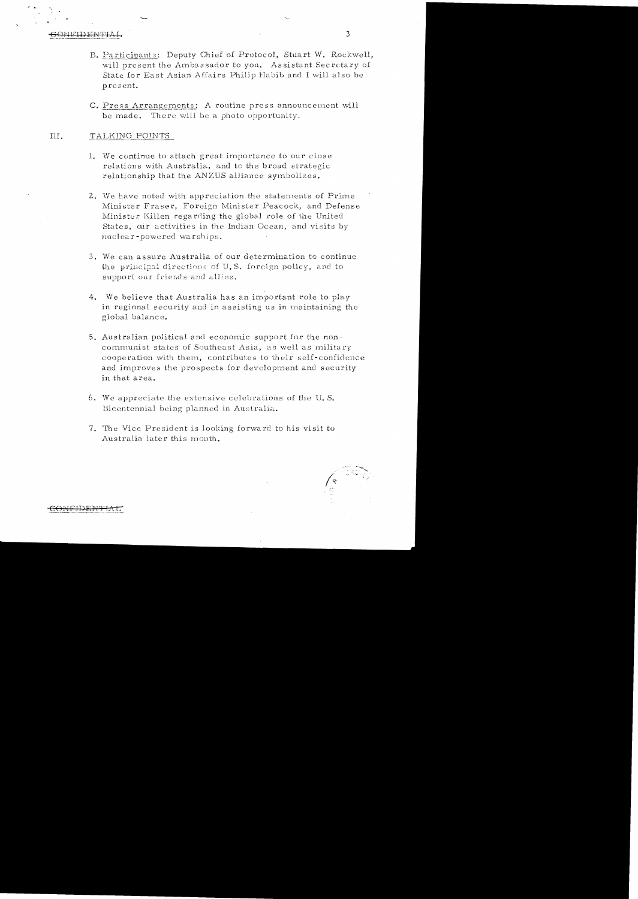- B. Participants: Deputy Chief of Protocol, Stuart W. Rockwell, will present the Ambassador to you. Assistant Secretary of State for East Asian Affairs Philip Habib and I will also be present.
- C. Press Arrangements: A routine press announcement will be made. There will be a photo opportunity.

#### III. TALKING POINTS

- 1. We continue to attach great importance to our close relations with Australia, and to the broad strategic relationship that the ANZUS alliance symbolizes.
- 2. We have noted with appreciation the statements of Prime Minister Fraser, Foreign Minister Peacock, and Defense Minister Killen regarding the global role of the United States, cir activities in the Indian Ocean, and visits by nuclear-powered warships.
- 3. We can assure Australia of our determination to continue the principal directions of U.S. foreign policy, and to support our friends and allies.
- 4. We believe that Australia has an important role to play in regional security and in assisting us in maintaining the global balance.
- 5. Australian political and economic support for the noncommunist states of Southeast Asia, as well as military cooperation with them., contributes to their self-confidence and improves the prospects for devcloprnent and security in that area.
- $6.$  We appreciate the extensive celebrations of the U.S. Bicentennial being planned in Australia.
- 7. The Vice President is Jooking fonvard to his visit to Australia later this month.

 $\sqrt{2}$ \ .-""